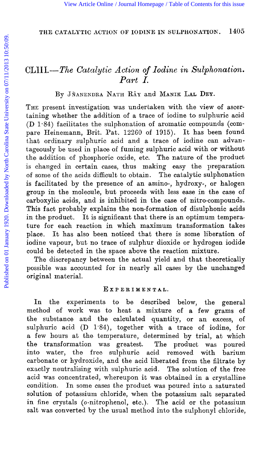## CLllI.--The *Catalytic Action of Iodine in Sulphonation. Part r.*

BY JÄANENDRA NATH RÂY and MANIK LAL DEY.

THE present investigation was undertaken with the view of ascertaining whether the addition of a trace of iodine to sulphuric acid **(D** 1.84) facilitates the sulphonation of aromatic compounds (compare Heinemann, Brit. Pat. 12260 of 1915). It has been found that ordinary sulphuric acid and a trace of iodine can advantageonsly be used in place of fuming sulphuric acid with or witthout the addition of phosphoric oxide, etc. The nature of the product is changed in certain cases, thus making easy the preparation of some of the acids difficult to obtain. The catalytic sulphonation is facilitated by the presence of an amino-, hydroxy-, or halogen group in the molecule, but proceeds with less ease in the case of carboxylic acids, and is inhibited in the case of nitro-compounds. This fact probably explains the non-formation of disulphonic acids in the product. It is significant that there is an optimum temperature for each reaction in which maximum transformation takes place. It has also been noticed that there is some liberation of iodine vapour, but no trace of sulphur dioxide or hydrogen iodide could be detected in the space above the reaction mixture. [View Article Online](http://dx.doi.org/10.1039/ct9201701405) [/ Journal Homepage](http://pubs.rsc.org/en/journals/journal/CT) [/ Table of Contents for this issue](http://pubs.rsc.org/en/journals/journal/CT?issueid=CT1920_117_0)<br>
THE CATALYTIO ACTION OF IODINE IN SULFRONATTON. 1405<br>
PUBLIC-THE CATALYTIO ACTION OF IODINE IN SULFRONATTON. 1405<br>
PUBLIC-THE CATALYTIO ACTION OF

The discrepancy between the actual yield and that theoretically possible was accounted for in nearly all cases by the unchanged original material.

#### **EXPERIMENTAL.**

In the experiments *to* be described below, the general method of work was to heat a mixture of a few grams of the substance and the calculated quantity, or an excess, of sulphuric acid (D 1.84), together with a trace of iodine, for a few hours at the temperature, determined by trial, at which the transformation was greatest. The product was poured into water, the free sulphuric acid removed with barium carbonate or hydroxide, and the acid liberated from the filtrate by exactly neutralising with sulphuric acid. The solution of the free acid was concentrated, whereupon it was obtained in a crystalline condition. In some cases the product was poured into a saturated solution of potassium chloride, when the potassium salt separated in fine crystals (0-nitrophenol, etc.). The acid or the potassium salt was converted by the usual method into the sulphonyl chloride,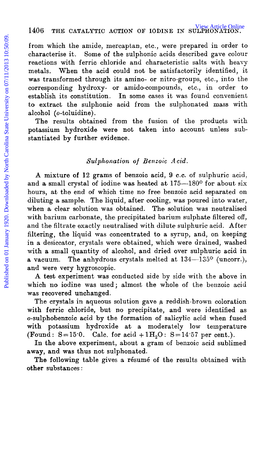from which the amide, mercaptan, etc., were prepared in order to characterise it. Some of the sulphonic acids described gave colour reactions with ferric chloride and characteristic salts with heavy metals. When the acid could not be satisfactorily identified, it was transformed through its amino- or nitro-groups, etc., into the corresponding hydroxy- or amido-compounds, etc., in order to establish its constitution. In some cases it was found convenient to extract the sulphonic acid from the sulphonated mass with alcohol (0-toluidine).

The results obtained from the fusion of the products with potassium hydroxide were not taken into account unless substantiated by further evidence.

#### *Sulphonation of Benzoic Acid.*

A mixture **of 12** grams of benzoic acid, 9 C.C. of sulphuric acid, and a small crystal of iodine was heated at  $175-180^{\circ}$  for about six hours, at the end of which time no free benzoic acid separated on diluting a sample. The liquid, after cooling, was poured into water, when a clear solution was obtained. The solution was neutralised with barium carbonate, the precipitated barium sulphate filtered off, and the filtrate exactly neutralised with dilute sulphuric acid. After filtering, the liquid was concentrated to a syrup, and, on keeping in **a** desiccator, crystals were obtained, which were Grained, washed with **a** small quantity of alcohol, and dried over sulphuric acid in a vacuum. The anhydrous crystals melted at  $134-135^{\circ}$  (uncorr.), and were very hygroscopic. 1406 THE CATALYTIC ACTION OF IODINE IN SULFRANCE, THE CHATALYTIC ACTION CONTROLS FOR the antertacterise it. Some of the sulphonic acids described gave colour of characterisise and characterisic antise on the substrate and

**A** test experiment was conducted side by side with the above in which no iodine was used; almost the whole of the benzoic acid was recovered unchanged.

The crystals in aqueous solution gave a reddish-brown coloration with ferric chloride, but no precipitate, and were identified as o-sulphobenzoic acid by the formation of salicylic acid when fused with potassium hydroxide at a moderately low temperature (Found:  $S=15^{\circ}0$ . Calc. for acid  $+1H<sub>2</sub>O$ :  $S=14.57$  per cent.).

In the above experiment, about a gram of benzoic acid sublimed away, and was thus not sulphonated.

**The** following table gives **a** resume of the results obtained with **other** substances :